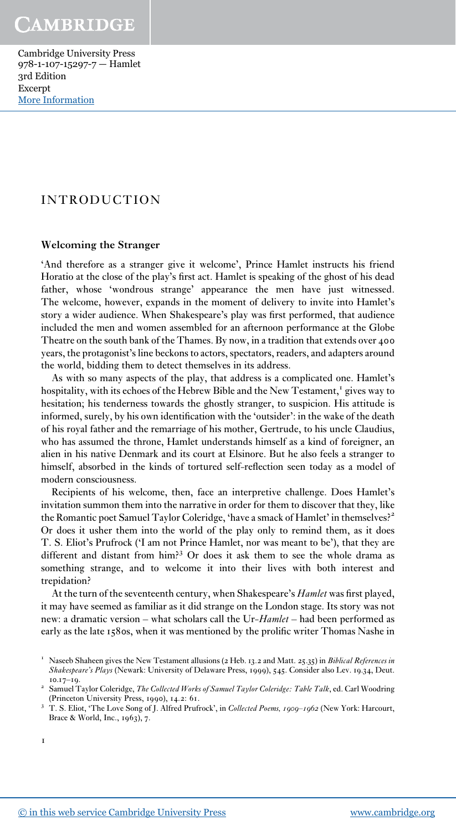Cambridge University Press 978-1-107-15297-7 — Hamlet 3rd Edition Excerpt [More Information](www.cambridge.org/9781107152977)

### INTRODUCTION

### Welcoming the Stranger

'And therefore as a stranger give it welcome', Prince Hamlet instructs his friend Horatio at the close of the play's first act. Hamlet is speaking of the ghost of his dead father, whose 'wondrous strange' appearance the men have just witnessed. The welcome, however, expands in the moment of delivery to invite into Hamlet's story a wider audience. When Shakespeare's play was first performed, that audience included the men and women assembled for an afternoon performance at the Globe Theatre on the south bank of the Thames. By now, in a tradition that extends over 400 years, the protagonist's line beckons to actors, spectators, readers, and adapters around the world, bidding them to detect themselves in its address.

As with so many aspects of the play, that address is a complicated one. Hamlet's hospitality, with its echoes of the Hebrew Bible and the New Testament,<sup>1</sup> gives way to hesitation; his tenderness towards the ghostly stranger, to suspicion. His attitude is informed, surely, by his own identification with the 'outsider': in the wake of the death of his royal father and the remarriage of his mother, Gertrude, to his uncle Claudius, who has assumed the throne, Hamlet understands himself as a kind of foreigner, an alien in his native Denmark and its court at Elsinore. But he also feels a stranger to himself, absorbed in the kinds of tortured self-reflection seen today as a model of modern consciousness.

Recipients of his welcome, then, face an interpretive challenge. Does Hamlet's invitation summon them into the narrative in order for them to discover that they, like the Romantic poet Samuel Taylor Coleridge, 'have a smack of Hamlet' in themselves?<sup>2</sup> Or does it usher them into the world of the play only to remind them, as it does T. S. Eliot's Prufrock ('I am not Prince Hamlet, nor was meant to be'), that they are different and distant from him?<sup>3</sup> Or does it ask them to see the whole drama as something strange, and to welcome it into their lives with both interest and trepidation?

At the turn of the seventeenth century, when Shakespeare's *Hamlet* was first played, it may have seemed as familiar as it did strange on the London stage. Its story was not new: a dramatic version – what scholars call the Ur-*Hamlet* – had been performed as early as the late 1580s, when it was mentioned by the prolific writer Thomas Nashe in

1

<sup>1</sup> Naseeb Shaheen gives the New Testament allusions (2 Heb. 13.2 and Matt. 25.35) in *Biblical References in Shakespeare*'*s Plays* (Newark: University of Delaware Press, 1999), 545. Consider also Lev. 19.34, Deut. 10.17–19.

<sup>2</sup> Samuel Taylor Coleridge, *The Collected Works of Samuel Taylor Coleridge: Table Talk*, ed. Carl Woodring (Princeton University Press, 1990), 14.2: 61.

<sup>3</sup> T. S. Eliot, 'The Love Song of J. Alfred Prufrock', in *Collected Poems,* 1909–1962 (New York: Harcourt, Brace & World, Inc., 1963), 7.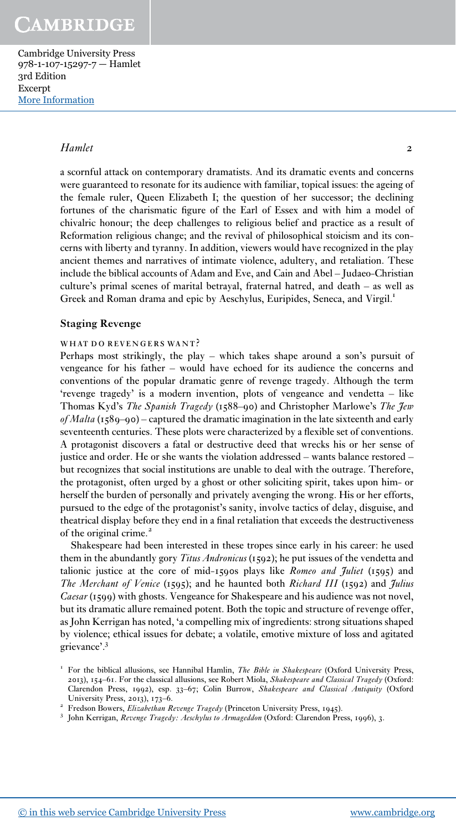Cambridge University Press 978-1-107-15297-7 — Hamlet 3rd Edition Excerpt [More Information](www.cambridge.org/9781107152977)

### *Hamlet* 2

a scornful attack on contemporary dramatists. And its dramatic events and concerns were guaranteed to resonate for its audience with familiar, topical issues: the ageing of the female ruler, Queen Elizabeth I; the question of her successor; the declining fortunes of the charismatic figure of the Earl of Essex and with him a model of chivalric honour; the deep challenges to religious belief and practice as a result of Reformation religious change; and the revival of philosophical stoicism and its concerns with liberty and tyranny. In addition, viewers would have recognized in the play ancient themes and narratives of intimate violence, adultery, and retaliation. These include the biblical accounts of Adam and Eve, and Cain and Abel – Judaeo-Christian culture's primal scenes of marital betrayal, fraternal hatred, and death – as well as Greek and Roman drama and epic by Aeschylus, Euripides, Seneca, and Virgil.<sup>1</sup>

### Staging Revenge

### WHAT DO REVENGERS WANT?

Perhaps most strikingly, the play – which takes shape around a son's pursuit of vengeance for his father – would have echoed for its audience the concerns and conventions of the popular dramatic genre of revenge tragedy. Although the term 'revenge tragedy' is a modern invention, plots of vengeance and vendetta – like Thomas Kyd's *The Spanish Tragedy* (1588–90) and Christopher Marlowe's *The Jew of Malta* (1589–90) – captured the dramatic imagination in the late sixteenth and early seventeenth centuries. These plots were characterized by a flexible set of conventions. A protagonist discovers a fatal or destructive deed that wrecks his or her sense of justice and order. He or she wants the violation addressed – wants balance restored – but recognizes that social institutions are unable to deal with the outrage. Therefore, the protagonist, often urged by a ghost or other soliciting spirit, takes upon him- or herself the burden of personally and privately avenging the wrong. His or her efforts, pursued to the edge of the protagonist's sanity, involve tactics of delay, disguise, and theatrical display before they end in a final retaliation that exceeds the destructiveness of the original crime.<sup>2</sup>

Shakespeare had been interested in these tropes since early in his career: he used them in the abundantly gory *Titus Andronicus* (1592); he put issues of the vendetta and talionic justice at the core of mid-1590s plays like *Romeo and Juliet* (1595) and *The Merchant of Venice* (1595); and he haunted both *Richard III* (1592) and *Julius Caesar* (1599) with ghosts. Vengeance for Shakespeare and his audience was not novel, but its dramatic allure remained potent. Both the topic and structure of revenge offer, as John Kerrigan has noted, 'a compelling mix of ingredients: strong situations shaped by violence; ethical issues for debate; a volatile, emotive mixture of loss and agitated grievance'. 3

<sup>1</sup> For the biblical allusions, see Hannibal Hamlin, *The Bible in Shakespeare* (Oxford University Press, 2013), 154–61. For the classical allusions, see Robert Miola, *Shakespeare and Classical Tragedy* (Oxford: Clarendon Press, 1992), esp. 33–67; Colin Burrow, *Shakespeare and Classical Antiquity* (Oxford University Press, 2013), 173–6.

<sup>2</sup> Fredson Bowers, *Elizabethan Revenge Tragedy* (Princeton University Press, 1945).

<sup>3</sup> John Kerrigan, *Revenge Tragedy: Aeschylus to Armageddon* (Oxford: Clarendon Press, 1996), 3.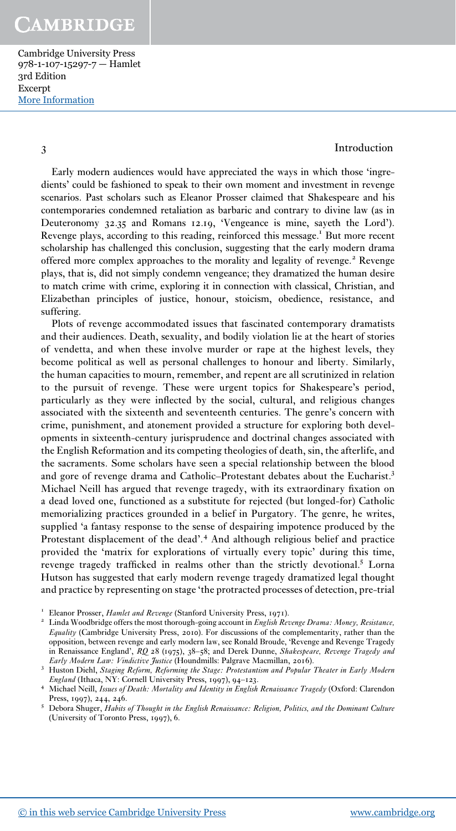Cambridge University Press 978-1-107-15297-7 — Hamlet 3rd Edition Excerpt [More Information](www.cambridge.org/9781107152977)

3 Introduction

Early modern audiences would have appreciated the ways in which those 'ingredients' could be fashioned to speak to their own moment and investment in revenge scenarios. Past scholars such as Eleanor Prosser claimed that Shakespeare and his contemporaries condemned retaliation as barbaric and contrary to divine law (as in Deuteronomy 32.35 and Romans 12.19, 'Vengeance is mine, sayeth the Lord'). Revenge plays, according to this reading, reinforced this message.<sup>1</sup> But more recent scholarship has challenged this conclusion, suggesting that the early modern drama offered more complex approaches to the morality and legality of revenge.<sup>2</sup> Revenge plays, that is, did not simply condemn vengeance; they dramatized the human desire to match crime with crime, exploring it in connection with classical, Christian, and Elizabethan principles of justice, honour, stoicism, obedience, resistance, and suffering.

Plots of revenge accommodated issues that fascinated contemporary dramatists and their audiences. Death, sexuality, and bodily violation lie at the heart of stories of vendetta, and when these involve murder or rape at the highest levels, they become political as well as personal challenges to honour and liberty. Similarly, the human capacities to mourn, remember, and repent are all scrutinized in relation to the pursuit of revenge. These were urgent topics for Shakespeare's period, particularly as they were inflected by the social, cultural, and religious changes associated with the sixteenth and seventeenth centuries. The genre's concern with crime, punishment, and atonement provided a structure for exploring both developments in sixteenth-century jurisprudence and doctrinal changes associated with the English Reformation and its competing theologies of death, sin, the afterlife, and the sacraments. Some scholars have seen a special relationship between the blood and gore of revenge drama and Catholic–Protestant debates about the Eucharist.<sup>3</sup> Michael Neill has argued that revenge tragedy, with its extraordinary fixation on a dead loved one, functioned as a substitute for rejected (but longed-for) Catholic memorializing practices grounded in a belief in Purgatory. The genre, he writes, supplied 'a fantasy response to the sense of despairing impotence produced by the Protestant displacement of the dead'. <sup>4</sup> And although religious belief and practice provided the 'matrix for explorations of virtually every topic' during this time, revenge tragedy trafficked in realms other than the strictly devotional.<sup>5</sup> Lorna Hutson has suggested that early modern revenge tragedy dramatized legal thought and practice by representing on stage 'the protracted processes of detection, pre-trial

<sup>&</sup>lt;sup>1</sup> Eleanor Prosser, *Hamlet and Revenge* (Stanford University Press, 1971).

<sup>2</sup> Linda Woodbridge offers the most thorough-going account in *English Revenge Drama: Money, Resistance, Equality* (Cambridge University Press, 2010). For discussions of the complementarity, rather than the opposition, between revenge and early modern law, see Ronald Broude, 'Revenge and Revenge Tragedy in Renaissance England', *RQ* 28 (1975), 38–58; and Derek Dunne, *Shakespeare, Revenge Tragedy and Early Modern Law: Vindictive Justice* (Houndmills: Palgrave Macmillan, 2016).

<sup>&</sup>lt;sup>3</sup> Huston Diehl, Staging Reform, Reforming the Stage: Protestantism and Popular Theater in Early Modern *England* (Ithaca, NY: Cornell University Press, 1997), 94–123.

<sup>&</sup>lt;sup>4</sup> Michael Neill, Issues of Death: Mortality and Identity in English Renaissance Tragedy (Oxford: Clarendon Press, 1997), 244, 246.

<sup>&</sup>lt;sup>5</sup> Debora Shuger, Habits of Thought in the English Renaissance: Religion, Politics, and the Dominant Culture (University of Toronto Press, 1997), 6.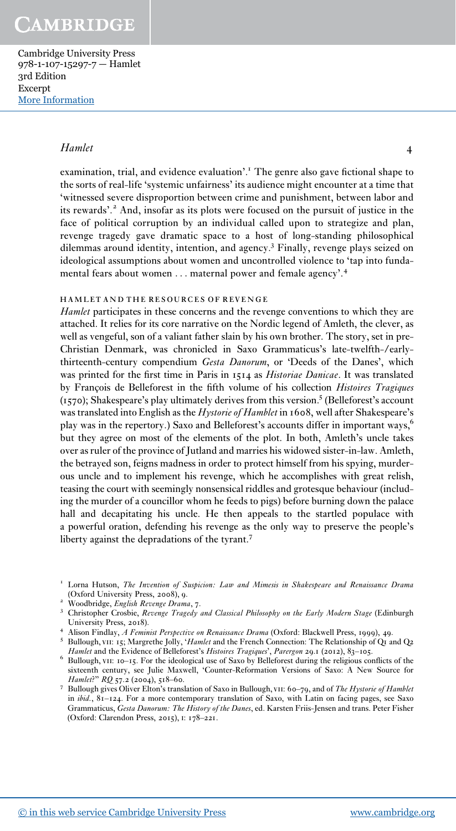Cambridge University Press 978-1-107-15297-7 — Hamlet 3rd Edition Excerpt [More Information](www.cambridge.org/9781107152977)

### *Hamlet* 4

examination, trial, and evidence evaluation'. <sup>1</sup> The genre also gave fictional shape to the sorts of real-life 'systemic unfairness' its audience might encounter at a time that 'witnessed severe disproportion between crime and punishment, between labor and its rewards'. <sup>2</sup> And, insofar as its plots were focused on the pursuit of justice in the face of political corruption by an individual called upon to strategize and plan, revenge tragedy gave dramatic space to a host of long-standing philosophical dilemmas around identity, intention, and agency.<sup>3</sup> Finally, revenge plays seized on ideological assumptions about women and uncontrolled violence to 'tap into fundamental fears about women ... maternal power and female agency'. 4

#### hamletand the resources of revenge

*Hamlet* participates in these concerns and the revenge conventions to which they are attached. It relies for its core narrative on the Nordic legend of Amleth, the clever, as well as vengeful, son of a valiant father slain by his own brother. The story, set in pre-Christian Denmark, was chronicled in Saxo Grammaticus's late-twelfth-/earlythirteenth-century compendium *Gesta Danorum*, or 'Deeds of the Danes', which was printed for the first time in Paris in 1514 as *Historiae Danicae*. It was translated by François de Belleforest in the fifth volume of his collection *Histoires Tragiques* (1570); Shakespeare's play ultimately derives from this version.<sup>5</sup> (Belleforest's account was translated into English as the *Hystorie of Hamblet* in 1608, well after Shakespeare's play was in the repertory.) Saxo and Belleforest's accounts differ in important ways,<sup>6</sup> but they agree on most of the elements of the plot. In both, Amleth's uncle takes over as ruler of the province of Jutland and marries his widowed sister-in-law. Amleth, the betrayed son, feigns madness in order to protect himself from his spying, murderous uncle and to implement his revenge, which he accomplishes with great relish, teasing the court with seemingly nonsensical riddles and grotesque behaviour (including the murder of a councillor whom he feeds to pigs) before burning down the palace hall and decapitating his uncle. He then appeals to the startled populace with a powerful oration, defending his revenge as the only way to preserve the people's liberty against the depradations of the tyrant.<sup>7</sup>

- <sup>2</sup> Woodbridge, *English Revenge Drama*, 7.
- <sup>3</sup> Christopher Crosbie, Revenge Tragedy and Classical Philosophy on the Early Modern Stage (Edinburgh University Press, 2018).
- <sup>4</sup> Alison Findlay, *A Feminist Perspective on Renaissance Drama* (Oxford: Blackwell Press, 1999), 49.
- <sup>5</sup> Bullough, VII: 15; Margrethe Jolly, 'Hamlet and the French Connection: The Relationship of Q1 and Q2 *Hamlet* and the Evidence of Belleforest's *Histoires Tragiques*', *Parergon* 29.1 (2012), 83–105.
- $6$  Bullough, VII: 10–15. For the ideological use of Saxo by Belleforest during the religious conflicts of the sixteenth century, see Julie Maxwell, 'Counter-Reformation Versions of Saxo: A New Source for *Hamlet*?" *RQ* 57.2 (2004), 518–60.
- 7 Bullough gives Oliver Elton's translation of Saxo in Bullough, vii: 60–79, and of *The Hystorie of Hamblet* in *ibid.*, 81–124. For a more contemporary translation of Saxo, with Latin on facing pages, see Saxo Grammaticus, *Gesta Danorum: The History of the Danes*, ed. Karsten Friis-Jensen and trans. Peter Fisher (Oxford: Clarendon Press, 2015), i: 178–221.

<sup>&</sup>lt;sup>1</sup> Lorna Hutson, The Invention of Suspicion: Law and Mimesis in Shakespeare and Renaissance Drama (Oxford University Press, 2008), 9.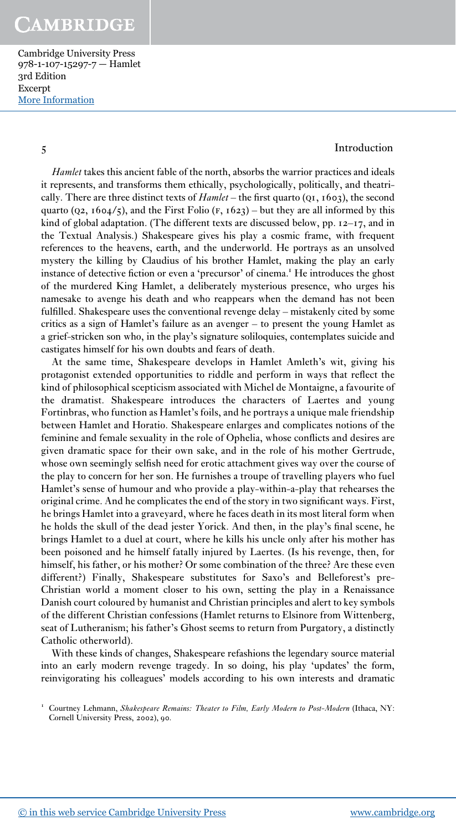Cambridge University Press 978-1-107-15297-7 — Hamlet 3rd Edition Excerpt [More Information](www.cambridge.org/9781107152977)

5 Introduction

*Hamlet* takes this ancient fable of the north, absorbs the warrior practices and ideals it represents, and transforms them ethically, psychologically, politically, and theatrically. There are three distinct texts of *Hamlet* – the first quarto (q1, 1603), the second quarto ( $Q_2$ , 1604/5), and the First Folio ( $F$ , 1623) – but they are all informed by this kind of global adaptation. (The different texts are discussed below, pp. 12–17, and in the Textual Analysis.) Shakespeare gives his play a cosmic frame, with frequent references to the heavens, earth, and the underworld. He portrays as an unsolved mystery the killing by Claudius of his brother Hamlet, making the play an early instance of detective fiction or even a 'precursor' of cinema.<sup>1</sup> He introduces the ghost of the murdered King Hamlet, a deliberately mysterious presence, who urges his namesake to avenge his death and who reappears when the demand has not been fulfilled. Shakespeare uses the conventional revenge delay – mistakenly cited by some critics as a sign of Hamlet's failure as an avenger – to present the young Hamlet as a grief-stricken son who, in the play's signature soliloquies, contemplates suicide and castigates himself for his own doubts and fears of death.

At the same time, Shakespeare develops in Hamlet Amleth's wit, giving his protagonist extended opportunities to riddle and perform in ways that reflect the kind of philosophical scepticism associated with Michel de Montaigne, a favourite of the dramatist. Shakespeare introduces the characters of Laertes and young Fortinbras, who function as Hamlet's foils, and he portrays a unique male friendship between Hamlet and Horatio. Shakespeare enlarges and complicates notions of the feminine and female sexuality in the role of Ophelia, whose conflicts and desires are given dramatic space for their own sake, and in the role of his mother Gertrude, whose own seemingly selfish need for erotic attachment gives way over the course of the play to concern for her son. He furnishes a troupe of travelling players who fuel Hamlet's sense of humour and who provide a play-within-a-play that rehearses the original crime. And he complicates the end of the story in two significant ways. First, he brings Hamlet into a graveyard, where he faces death in its most literal form when he holds the skull of the dead jester Yorick. And then, in the play's final scene, he brings Hamlet to a duel at court, where he kills his uncle only after his mother has been poisoned and he himself fatally injured by Laertes. (Is his revenge, then, for himself, his father, or his mother? Or some combination of the three? Are these even different?) Finally, Shakespeare substitutes for Saxo's and Belleforest's pre-Christian world a moment closer to his own, setting the play in a Renaissance Danish court coloured by humanist and Christian principles and alert to key symbols of the different Christian confessions (Hamlet returns to Elsinore from Wittenberg, seat of Lutheranism; his father's Ghost seems to return from Purgatory, a distinctly Catholic otherworld).

With these kinds of changes, Shakespeare refashions the legendary source material into an early modern revenge tragedy. In so doing, his play 'updates' the form, reinvigorating his colleagues' models according to his own interests and dramatic

<sup>1</sup> Courtney Lehmann, *Shakespeare Remains: Theater to Film, Early Modern to Post-Modern* (Ithaca, NY: Cornell University Press, 2002), 90.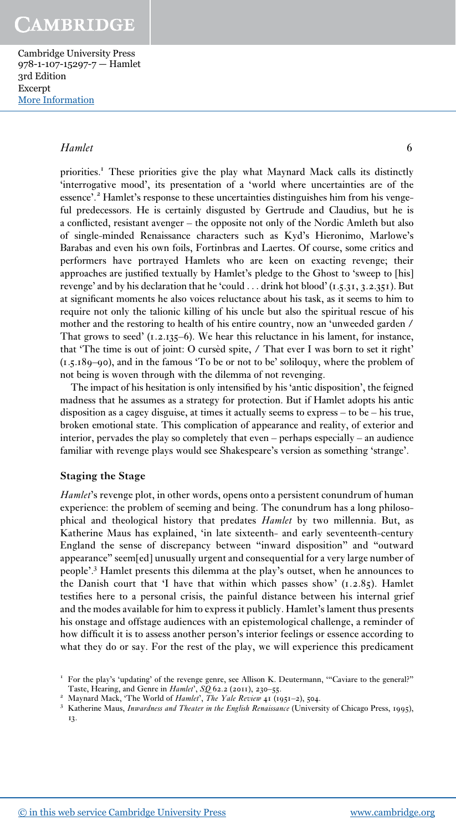Cambridge University Press 978-1-107-15297-7 — Hamlet 3rd Edition Excerpt [More Information](www.cambridge.org/9781107152977)

### *Hamlet* 6

priorities.<sup>1</sup> These priorities give the play what Maynard Mack calls its distinctly 'interrogative mood', its presentation of a 'world where uncertainties are of the essence'.<sup>2</sup> Hamlet's response to these uncertainties distinguishes him from his vengeful predecessors. He is certainly disgusted by Gertrude and Claudius, but he is a conflicted, resistant avenger – the opposite not only of the Nordic Amleth but also of single-minded Renaissance characters such as Kyd's Hieronimo, Marlowe's Barabas and even his own foils, Fortinbras and Laertes. Of course, some critics and performers have portrayed Hamlets who are keen on exacting revenge; their approaches are justified textually by Hamlet's pledge to the Ghost to 'sweep to [his] revenge' and by his declaration that he 'could ... drink hot blood' (1.5.31, 3.2.351). But at significant moments he also voices reluctance about his task, as it seems to him to require not only the talionic killing of his uncle but also the spiritual rescue of his mother and the restoring to health of his entire country, now an 'unweeded garden / That grows to seed' (1.2.135–6). We hear this reluctance in his lament, for instance, that 'The time is out of joint: O cursèd spite, / That ever I was born to set it right' (1.5.189–90), and in the famous 'To be or not to be' soliloquy, where the problem of not being is woven through with the dilemma of not revenging.

The impact of his hesitation is only intensified by his 'antic disposition', the feigned madness that he assumes as a strategy for protection. But if Hamlet adopts his antic disposition as a cagey disguise, at times it actually seems to express – to be – his true, broken emotional state. This complication of appearance and reality, of exterior and interior, pervades the play so completely that even – perhaps especially – an audience familiar with revenge plays would see Shakespeare's version as something 'strange'.

### Staging the Stage

*Hamlet*'s revenge plot, in other words, opens onto a persistent conundrum of human experience: the problem of seeming and being. The conundrum has a long philosophical and theological history that predates *Hamlet* by two millennia. But, as Katherine Maus has explained, 'in late sixteenth- and early seventeenth-century England the sense of discrepancy between "inward disposition" and "outward appearance" seem[ed] unusually urgent and consequential for a very large number of people'. <sup>3</sup> Hamlet presents this dilemma at the play's outset, when he announces to the Danish court that 'I have that within which passes show'  $(1.2.85)$ . Hamlet testifies here to a personal crisis, the painful distance between his internal grief and the modes available for him to express it publicly. Hamlet's lament thus presents his onstage and offstage audiences with an epistemological challenge, a reminder of how difficult it is to assess another person's interior feelings or essence according to what they do or say. For the rest of the play, we will experience this predicament

<sup>1</sup> For the play's 'updating' of the revenge genre, see Allison K. Deutermann, '"Caviare to the general?" Taste, Hearing, and Genre in *Hamlet*', *SQ* 62.2 (2011), 230–55.

<sup>2</sup> Maynard Mack, 'The World of *Hamlet*', *The Yale Review* 41 (1951–2), 504.

<sup>3</sup> Katherine Maus, *Inwardness and Theater in the English Renaissance* (University of Chicago Press, 1995), 13.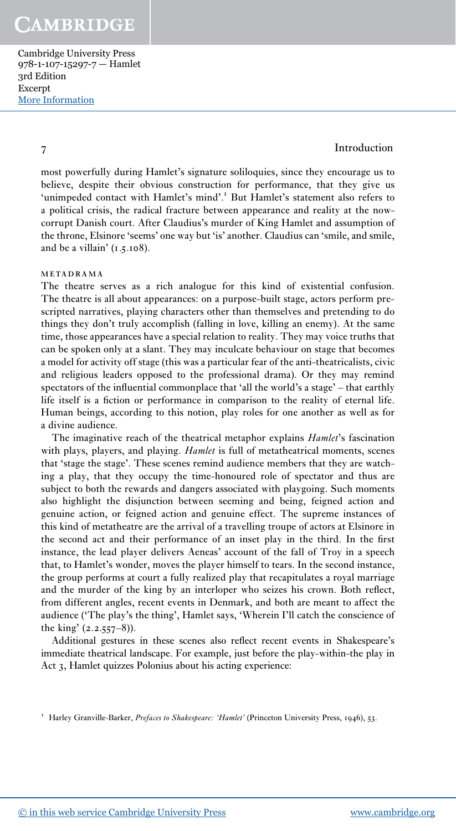Cambridge University Press 978-1-107-15297-7 — Hamlet 3rd Edition Excerpt [More Information](www.cambridge.org/9781107152977)

7 Introduction

most powerfully during Hamlet's signature soliloquies, since they encourage us to believe, despite their obvious construction for performance, that they give us 'unimpeded contact with Hamlet's mind'.<sup>1</sup> But Hamlet's statement also refers to a political crisis, the radical fracture between appearance and reality at the nowcorrupt Danish court. After Claudius's murder of King Hamlet and assumption of the throne, Elsinore 'seems' one way but 'is' another. Claudius can 'smile, and smile, and be a villain' (1.5.108).

#### **METADRAMA**

The theatre serves as a rich analogue for this kind of existential confusion. The theatre is all about appearances: on a purpose-built stage, actors perform prescripted narratives, playing characters other than themselves and pretending to do things they don't truly accomplish (falling in love, killing an enemy). At the same time, those appearances have a special relation to reality. They may voice truths that can be spoken only at a slant. They may inculcate behaviour on stage that becomes a model for activity off stage (this was a particular fear of the anti-theatricalists, civic and religious leaders opposed to the professional drama). Or they may remind spectators of the influential commonplace that 'all the world's a stage' – that earthly life itself is a fiction or performance in comparison to the reality of eternal life. Human beings, according to this notion, play roles for one another as well as for a divine audience.

The imaginative reach of the theatrical metaphor explains *Hamlet*'s fascination with plays, players, and playing. *Hamlet* is full of metatheatrical moments, scenes that 'stage the stage'. These scenes remind audience members that they are watching a play, that they occupy the time-honoured role of spectator and thus are subject to both the rewards and dangers associated with playgoing. Such moments also highlight the disjunction between seeming and being, feigned action and genuine action, or feigned action and genuine effect. The supreme instances of this kind of metatheatre are the arrival of a travelling troupe of actors at Elsinore in the second act and their performance of an inset play in the third. In the first instance, the lead player delivers Aeneas' account of the fall of Troy in a speech that, to Hamlet's wonder, moves the player himself to tears. In the second instance, the group performs at court a fully realized play that recapitulates a royal marriage and the murder of the king by an interloper who seizes his crown. Both reflect, from different angles, recent events in Denmark, and both are meant to affect the audience ('The play's the thing', Hamlet says, 'Wherein I'll catch the conscience of the king' (2.2.557–8)).

Additional gestures in these scenes also reflect recent events in Shakespeare's immediate theatrical landscape. For example, just before the play-within-the play in Act 3, Hamlet quizzes Polonius about his acting experience:

<sup>&</sup>lt;sup>1</sup> Harley Granville-Barker, *Prefaces to Shakespeare: 'Hamlet'* (Princeton University Press, 1946), 53.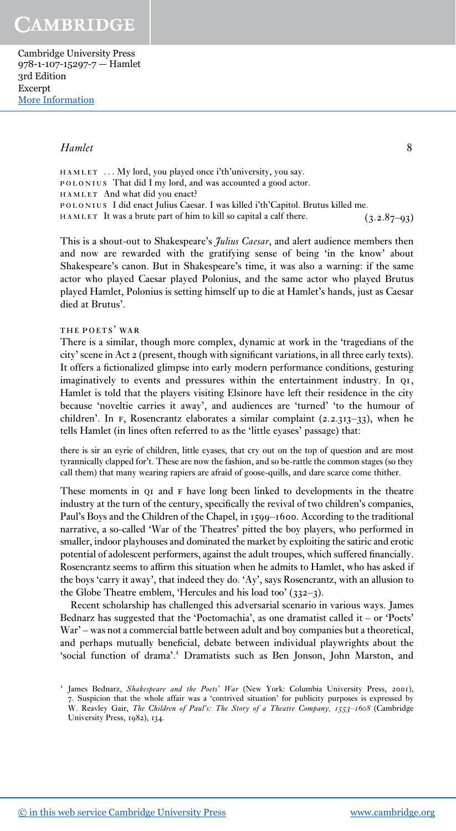Cambridge University Press 978-1-107-15297-7 — Hamlet 3rd Edition Excerpt [More Information](www.cambridge.org/9781107152977)

### *Hamlet* 8

hamlet ... My lord, you played once i'th'university, you say. polonius That did I my lord, and was accounted a good actor. HAMLET And what did you enact? polonius I did enact Julius Caesar. I was killed i'th'Capitol. Brutus killed me. HAMLET It was a brute part of him to kill so capital a calf there.  $(3.2.87-93)$ 

This is a shout-out to Shakespeare's *Julius Caesar*, and alert audience members then and now are rewarded with the gratifying sense of being 'in the know' about Shakespeare's canon. But in Shakespeare's time, it was also a warning: if the same actor who played Caesar played Polonius, and the same actor who played Brutus played Hamlet, Polonius is setting himself up to die at Hamlet's hands, just as Caesar died at Brutus'.

### THE POETS' WAR

There is a similar, though more complex, dynamic at work in the 'tragedians of the city' scene in Act 2 (present, though with significant variations, in all three early texts). It offers a fictionalized glimpse into early modern performance conditions, gesturing imaginatively to events and pressures within the entertainment industry. In q1, Hamlet is told that the players visiting Elsinore have left their residence in the city because 'noveltie carries it away', and audiences are 'turned' 'to the humour of children'. In  $F$ , Rosencrantz elaborates a similar complaint (2.2.313–33), when he tells Hamlet (in lines often referred to as the 'little eyases' passage) that:

there is sir an eyrie of children, little eyases, that cry out on the top of question and are most tyrannically clapped for't. These are now the fashion, and so be-rattle the common stages (so they call them) that many wearing rapiers are afraid of goose-quills, and dare scarce come thither.

These moments in Q<sub>1</sub> and F have long been linked to developments in the theatre industry at the turn of the century, specifically the revival of two children's companies, Paul's Boys and the Children of the Chapel, in 1599–1600. According to the traditional narrative, a so-called 'War of the Theatres' pitted the boy players, who performed in smaller, indoor playhouses and dominated the market by exploiting the satiric and erotic potential of adolescent performers, against the adult troupes, which suffered financially. Rosencrantz seems to affirm this situation when he admits to Hamlet, who has asked if the boys 'carry it away', that indeed they do. 'Ay', says Rosencrantz, with an allusion to the Globe Theatre emblem, 'Hercules and his load too' (332–3).

Recent scholarship has challenged this adversarial scenario in various ways. James Bednarz has suggested that the 'Poetomachia', as one dramatist called it – or 'Poets' War' – was not a commercial battle between adult and boy companies but a theoretical, and perhaps mutually beneficial, debate between individual playwrights about the 'social function of drama'. <sup>1</sup> Dramatists such as Ben Jonson, John Marston, and

<sup>1</sup> James Bednarz, *Shakespeare and the Poets*' *War* (New York: Columbia University Press, 2001), 7. Suspicion that the whole affair was a 'contrived situation' for publicity purposes is expressed by W. Reavley Gair, The Children of Paul's: The Story of a Theatre Company, 1553-1608 (Cambridge University Press, 1982), 134.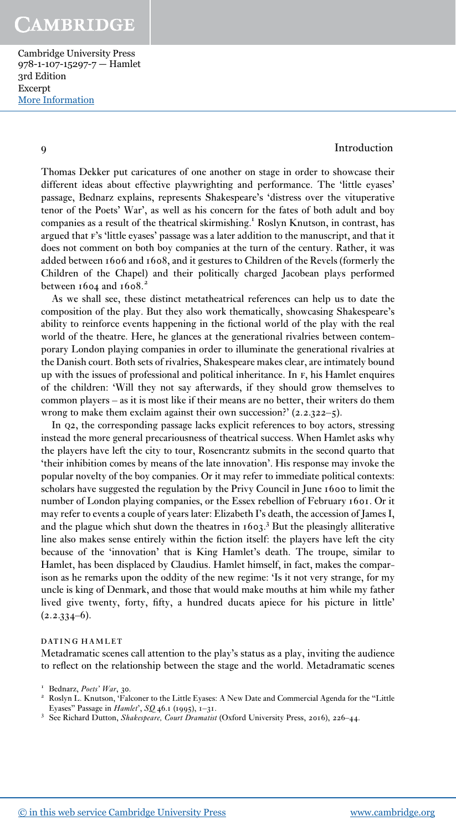Cambridge University Press 978-1-107-15297-7 — Hamlet 3rd Edition Excerpt [More Information](www.cambridge.org/9781107152977)

9 Introduction

Thomas Dekker put caricatures of one another on stage in order to showcase their different ideas about effective playwrighting and performance. The 'little eyases' passage, Bednarz explains, represents Shakespeare's 'distress over the vituperative tenor of the Poets' War', as well as his concern for the fates of both adult and boy companies as a result of the theatrical skirmishing.<sup>1</sup> Roslyn Knutson, in contrast, has argued that F's 'little eyases' passage was a later addition to the manuscript, and that it does not comment on both boy companies at the turn of the century. Rather, it was added between 1606 and 1608, and it gestures to Children of the Revels (formerly the Children of the Chapel) and their politically charged Jacobean plays performed between  $1604$  and  $1608.<sup>2</sup>$ 

As we shall see, these distinct metatheatrical references can help us to date the composition of the play. But they also work thematically, showcasing Shakespeare's ability to reinforce events happening in the fictional world of the play with the real world of the theatre. Here, he glances at the generational rivalries between contemporary London playing companies in order to illuminate the generational rivalries at the Danish court. Both sets of rivalries, Shakespeare makes clear, are intimately bound up with the issues of professional and political inheritance. In F, his Hamlet enquires of the children: 'Will they not say afterwards, if they should grow themselves to common players – as it is most like if their means are no better, their writers do them wrong to make them exclaim against their own succession?' (2.2.322-5).

In q2, the corresponding passage lacks explicit references to boy actors, stressing instead the more general precariousness of theatrical success. When Hamlet asks why the players have left the city to tour, Rosencrantz submits in the second quarto that 'their inhibition comes by means of the late innovation'. His response may invoke the popular novelty of the boy companies. Or it may refer to immediate political contexts: scholars have suggested the regulation by the Privy Council in June 1600 to limit the number of London playing companies, or the Essex rebellion of February 1601. Or it may refer to events a couple of years later: Elizabeth I's death, the accession of James I, and the plague which shut down the theatres in 1603.<sup>3</sup> But the pleasingly alliterative line also makes sense entirely within the fiction itself: the players have left the city because of the 'innovation' that is King Hamlet's death. The troupe, similar to Hamlet, has been displaced by Claudius. Hamlet himself, in fact, makes the comparison as he remarks upon the oddity of the new regime: 'Is it not very strange, for my uncle is king of Denmark, and those that would make mouths at him while my father lived give twenty, forty, fifty, a hundred ducats apiece for his picture in little'  $(2.2.334-6).$ 

#### dating hamlet

Metadramatic scenes call attention to the play's status as a play, inviting the audience to reflect on the relationship between the stage and the world. Metadramatic scenes

<sup>1</sup> Bednarz, *Poets*' *War*, 30.

<sup>2</sup> Roslyn L. Knutson, 'Falconer to the Little Eyases: A New Date and Commercial Agenda for the "Little Eyases" Passage in *Hamlet*', *SQ* 46.1 (1995), 1–31.

<sup>3</sup> See Richard Dutton, *Shakespeare, Court Dramatist* (Oxford University Press, 2016), 226–44.